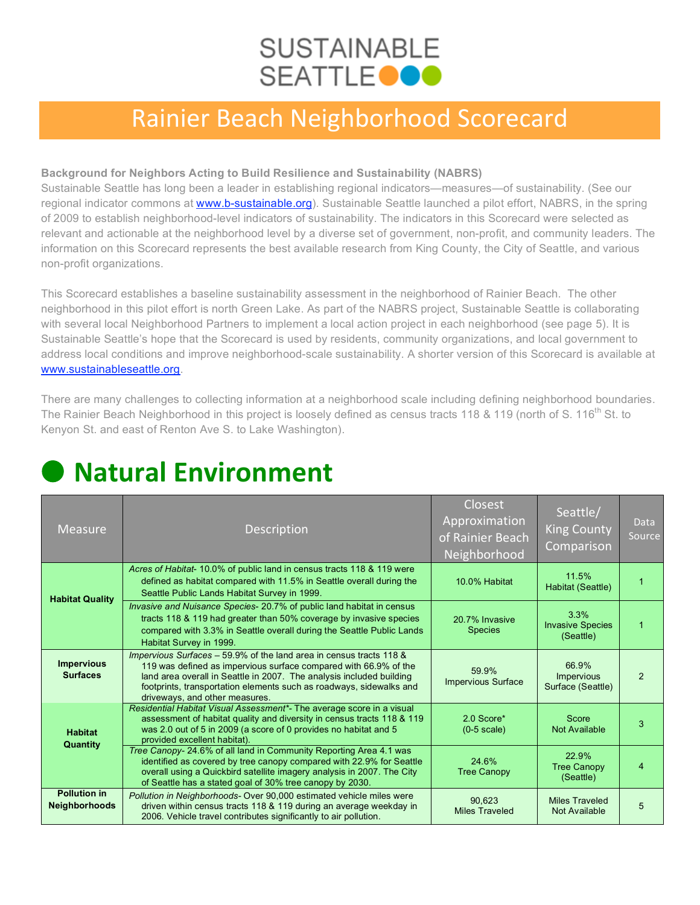## **SUSTAINABLE SEATTLEOOO**

### Rainier Beach Neighborhood Scorecard

#### **Background for Neighbors Acting to Build Resilience and Sustainability (NABRS)**

Sustainable Seattle has long been a leader in establishing regional indicators—measures—of sustainability. (See our regional indicator commons at www.b-sustainable.org). Sustainable Seattle launched a pilot effort, NABRS, in the spring of 2009 to establish neighborhood-level indicators of sustainability. The indicators in this Scorecard were selected as relevant and actionable at the neighborhood level by a diverse set of government, non-profit, and community leaders. The information on this Scorecard represents the best available research from King County, the City of Seattle, and various non-profit organizations.

This Scorecard establishes a baseline sustainability assessment in the neighborhood of Rainier Beach. The other neighborhood in this pilot effort is north Green Lake. As part of the NABRS project, Sustainable Seattle is collaborating with several local Neighborhood Partners to implement a local action project in each neighborhood (see page 5). It is Sustainable Seattle's hope that the Scorecard is used by residents, community organizations, and local government to address local conditions and improve neighborhood-scale sustainability. A shorter version of this Scorecard is available at www.sustainableseattle.org.

There are many challenges to collecting information at a neighborhood scale including defining neighborhood boundaries. The Rainier Beach Neighborhood in this project is loosely defined as census tracts 118 & 119 (north of S. 116<sup>th</sup> St. to Kenyon St. and east of Renton Ave S. to Lake Washington).

| <b>Measure</b>                       | <b>Description</b>                                                                                                                                                                                                                                                                                                       | <b>Closest</b><br>Approximation<br>of Rainier Beach<br>Neighborhood | Seattle/<br><b>King County</b><br>Comparison    | <b>Data</b><br>Source |
|--------------------------------------|--------------------------------------------------------------------------------------------------------------------------------------------------------------------------------------------------------------------------------------------------------------------------------------------------------------------------|---------------------------------------------------------------------|-------------------------------------------------|-----------------------|
| <b>Habitat Quality</b>               | Acres of Habitat-10.0% of public land in census tracts 118 & 119 were<br>defined as habitat compared with 11.5% in Seattle overall during the<br>Seattle Public Lands Habitat Survey in 1999.                                                                                                                            | 10.0% Habitat                                                       | 11.5%<br>Habitat (Seattle)                      | 1                     |
|                                      | <i>Invasive and Nuisance Species-20.7% of public land habitat in census</i><br>tracts 118 & 119 had greater than 50% coverage by invasive species<br>compared with 3.3% in Seattle overall during the Seattle Public Lands<br>Habitat Survey in 1999.                                                                    | 20 7% Invasive<br><b>Species</b>                                    | 3.3%<br><b>Invasive Species</b><br>(Seattle)    | 1                     |
| <b>Impervious</b><br><b>Surfaces</b> | Impervious Surfaces - 59.9% of the land area in census tracts 118 &<br>119 was defined as impervious surface compared with 66.9% of the<br>land area overall in Seattle in 2007. The analysis included building<br>footprints, transportation elements such as roadways, sidewalks and<br>driveways, and other measures. | 59.9%<br><b>Impervious Surface</b>                                  | 66.9%<br><b>Impervious</b><br>Surface (Seattle) | $\mathfrak{p}$        |
| <b>Habitat</b><br>Quantity           | Residential Habitat Visual Assessment*- The average score in a visual<br>assessment of habitat quality and diversity in census tracts 118 & 119<br>was 2.0 out of 5 in 2009 (a score of 0 provides no habitat and 5<br>provided excellent habitat).                                                                      | 2.0 Score*<br>$(0-5 \text{ scale})$                                 | Score<br>Not Available                          | 3                     |
|                                      | Tree Canopy- 24.6% of all land in Community Reporting Area 4.1 was<br>identified as covered by tree canopy compared with 22.9% for Seattle<br>overall using a Quickbird satellite imagery analysis in 2007. The City<br>of Seattle has a stated goal of 30% tree canopy by 2030.                                         | 24.6%<br><b>Tree Canopy</b>                                         | 22.9%<br><b>Tree Canopy</b><br>(Seattle)        | 4                     |
| <b>Pollution in</b><br>Neighborhoods | Pollution in Neighborhoods-Over 90,000 estimated vehicle miles were<br>driven within census tracts 118 & 119 during an average weekday in<br>2006. Vehicle travel contributes significantly to air pollution.                                                                                                            | 90.623<br><b>Miles Traveled</b>                                     | <b>Miles Traveled</b><br>Not Available          | 5                     |

# ● **Natural Environment**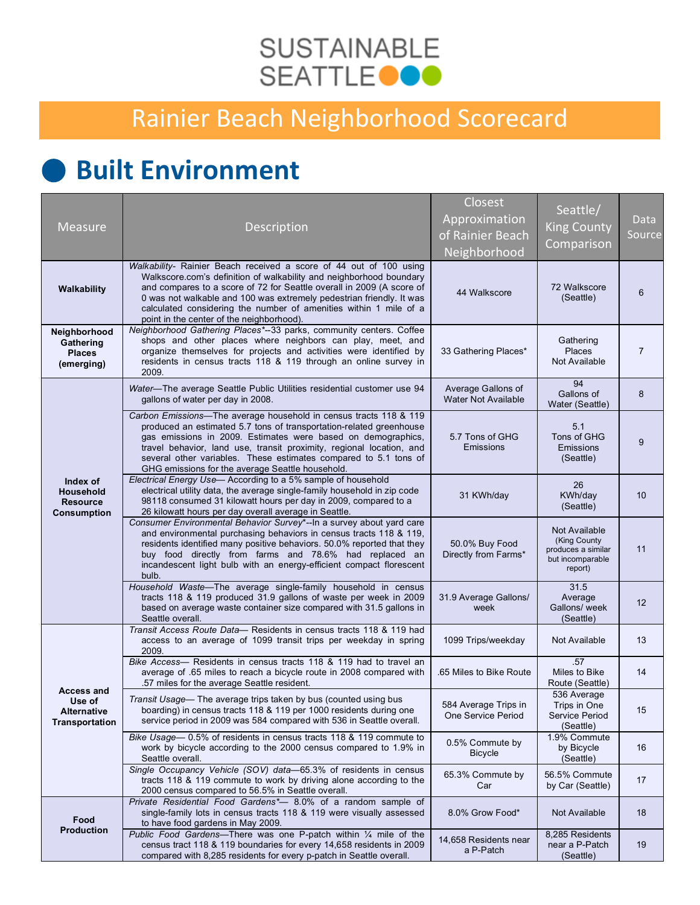### **SUSTAINABLE SEATTLEOOO**

## Rainier Beach Neighborhood Scorecard

# ● **Built Environment**

| <b>Measure</b>                                                        | Description                                                                                                                                                                                                                                                                                                                                                                                                  | Closest<br>Approximation<br>of Rainier Beach<br>Neighborhood | Seattle/<br><b>King County</b><br>Comparison                                       | Data<br>Source |
|-----------------------------------------------------------------------|--------------------------------------------------------------------------------------------------------------------------------------------------------------------------------------------------------------------------------------------------------------------------------------------------------------------------------------------------------------------------------------------------------------|--------------------------------------------------------------|------------------------------------------------------------------------------------|----------------|
| Walkability                                                           | Walkability- Rainier Beach received a score of 44 out of 100 using<br>Walkscore.com's definition of walkability and neighborhood boundary<br>and compares to a score of 72 for Seattle overall in 2009 (A score of<br>0 was not walkable and 100 was extremely pedestrian friendly. It was<br>calculated considering the number of amenities within 1 mile of a<br>point in the center of the neighborhood). | 44 Walkscore                                                 | 72 Walkscore<br>(Seattle)                                                          | 6              |
| Neighborhood<br>Gathering<br><b>Places</b><br>(emerging)              | Neighborhood Gathering Places*--33 parks, community centers. Coffee<br>shops and other places where neighbors can play, meet, and<br>organize themselves for projects and activities were identified by<br>residents in census tracts 118 & 119 through an online survey in<br>2009.                                                                                                                         | 33 Gathering Places*                                         | Gathering<br>Places<br>Not Available                                               | $\overline{7}$ |
| Index of<br><b>Household</b><br><b>Resource</b><br><b>Consumption</b> | Water-The average Seattle Public Utilities residential customer use 94<br>gallons of water per day in 2008.                                                                                                                                                                                                                                                                                                  | Average Gallons of<br><b>Water Not Available</b>             | 94<br>Gallons of<br>Water (Seattle)                                                | 8              |
|                                                                       | Carbon Emissions-The average household in census tracts 118 & 119<br>produced an estimated 5.7 tons of transportation-related greenhouse<br>gas emissions in 2009. Estimates were based on demographics,<br>travel behavior, land use, transit proximity, regional location, and<br>several other variables. These estimates compared to 5.1 tons of<br>GHG emissions for the average Seattle household.     | 5.7 Tons of GHG<br>Emissions                                 | 5.1<br>Tons of GHG<br>Emissions<br>(Seattle)                                       | 9              |
|                                                                       | Electrical Energy Use-According to a 5% sample of household<br>electrical utility data, the average single-family household in zip code<br>98118 consumed 31 kilowatt hours per day in 2009, compared to a<br>26 kilowatt hours per day overall average in Seattle.                                                                                                                                          | 31 KWh/day                                                   | 26<br>KWh/day<br>(Seattle)                                                         | 10             |
|                                                                       | Consumer Environmental Behavior Survey*--In a survey about yard care<br>and environmental purchasing behaviors in census tracts 118 & 119,<br>residents identified many positive behaviors. 50.0% reported that they<br>buy food directly from farms and 78.6% had replaced an<br>incandescent light bulb with an energy-efficient compact florescent<br>bulb.                                               | 50.0% Buy Food<br>Directly from Farms*                       | Not Available<br>(King County<br>produces a similar<br>but incomparable<br>report) | 11             |
|                                                                       | Household Waste-The average single-family household in census<br>tracts 118 & 119 produced 31.9 gallons of waste per week in 2009<br>based on average waste container size compared with 31.5 gallons in<br>Seattle overall.                                                                                                                                                                                 | 31.9 Average Gallons/<br>week                                | 31.5<br>Average<br>Gallons/ week<br>(Seattle)                                      | 12             |
| <b>Access and</b><br>Use of<br><b>Alternative</b><br>Transportation   | Transit Access Route Data- Residents in census tracts 118 & 119 had<br>access to an average of 1099 transit trips per weekday in spring<br>2009.                                                                                                                                                                                                                                                             | 1099 Trips/weekday                                           | Not Available                                                                      | 13             |
|                                                                       | Bike Access- Residents in census tracts 118 & 119 had to travel an<br>average of .65 miles to reach a bicycle route in 2008 compared with<br>.57 miles for the average Seattle resident.                                                                                                                                                                                                                     | .65 Miles to Bike Route                                      | .57<br>Miles to Bike<br>Route (Seattle)                                            | 14             |
|                                                                       | Transit Usage— The average trips taken by bus (counted using bus<br>boarding) in census tracts 118 & 119 per 1000 residents during one<br>service period in 2009 was 584 compared with 536 in Seattle overall.                                                                                                                                                                                               | 584 Average Trips in<br>One Service Period                   | 536 Average<br>Trips in One<br>Service Period<br>(Seattle)                         | 15             |
|                                                                       | Bike Usage - 0.5% of residents in census tracts 118 & 119 commute to<br>work by bicycle according to the 2000 census compared to 1.9% in<br>Seattle overall.                                                                                                                                                                                                                                                 | 0.5% Commute by<br><b>Bicycle</b>                            | 1.9% Commute<br>by Bicycle<br>(Seattle)                                            | 16             |
|                                                                       | Single Occupancy Vehicle (SOV) data-65.3% of residents in census<br>tracts 118 & 119 commute to work by driving alone according to the<br>2000 census compared to 56.5% in Seattle overall.                                                                                                                                                                                                                  | 65.3% Commute by<br>Car                                      | 56.5% Commute<br>by Car (Seattle)                                                  | 17             |
| Food<br><b>Production</b>                                             | Private Residential Food Gardens*- 8.0% of a random sample of<br>single-family lots in census tracts 118 & 119 were visually assessed<br>to have food gardens in May 2009.                                                                                                                                                                                                                                   | 8.0% Grow Food*                                              | Not Available                                                                      | 18             |
|                                                                       | Public Food Gardens-There was one P-patch within 1/4 mile of the<br>census tract 118 & 119 boundaries for every 14,658 residents in 2009<br>compared with 8,285 residents for every p-patch in Seattle overall.                                                                                                                                                                                              | 14,658 Residents near<br>a P-Patch                           | 8,285 Residents<br>near a P-Patch<br>(Seattle)                                     | 19             |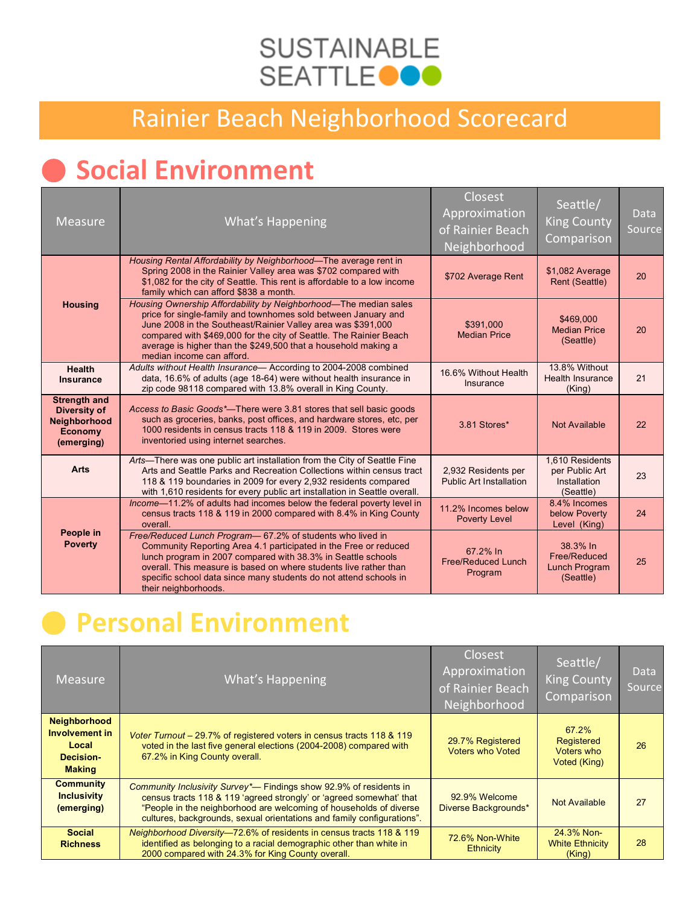### **SUSTAINABLE SEATTLE OOO**

### Rainier Beach Neighborhood Scorecard

# ● **Social Environment**

| <b>Measure</b>                                                                             | <b>What's Happening</b>                                                                                                                                                                                                                                                                                                                                                 | Closest<br>Approximation<br>of Rainier Beach<br>Neighborhood | Seattle/<br><b>King County</b><br>Comparison                   | <b>Data</b><br>Source |
|--------------------------------------------------------------------------------------------|-------------------------------------------------------------------------------------------------------------------------------------------------------------------------------------------------------------------------------------------------------------------------------------------------------------------------------------------------------------------------|--------------------------------------------------------------|----------------------------------------------------------------|-----------------------|
|                                                                                            | Housing Rental Affordability by Neighborhood—The average rent in<br>Spring 2008 in the Rainier Valley area was \$702 compared with<br>\$1,082 for the city of Seattle. This rent is affordable to a low income<br>family which can afford \$838 a month.                                                                                                                | \$702 Average Rent                                           | \$1,082 Average<br>Rent (Seattle)                              | 20                    |
| <b>Housing</b>                                                                             | Housing Ownership Affordability by Neighborhood—The median sales<br>price for single-family and townhomes sold between January and<br>June 2008 in the Southeast/Rainier Valley area was \$391,000<br>compared with \$469,000 for the city of Seattle. The Rainier Beach<br>average is higher than the \$249,500 that a household making a<br>median income can afford. | \$391.000<br><b>Median Price</b>                             | \$469,000<br><b>Median Price</b><br>(Seattle)                  | 20                    |
| <b>Health</b><br>Insurance                                                                 | Adults without Health Insurance- According to 2004-2008 combined<br>data, 16.6% of adults (age 18-64) were without health insurance in<br>zip code 98118 compared with 13.8% overall in King County.                                                                                                                                                                    | 16.6% Without Health<br>Insurance                            | 13.8% Without<br><b>Health Insurance</b><br>(King)             | 21                    |
| <b>Strength and</b><br><b>Diversity of</b><br>Neighborhood<br><b>Economy</b><br>(emerging) | Access to Basic Goods*—There were 3.81 stores that sell basic goods<br>such as groceries, banks, post offices, and hardware stores, etc, per<br>1000 residents in census tracts 118 & 119 in 2009. Stores were<br>inventoried using internet searches.                                                                                                                  | 3.81 Stores*                                                 | Not Available                                                  | 22                    |
| <b>Arts</b>                                                                                | Arts—There was one public art installation from the City of Seattle Fine<br>Arts and Seattle Parks and Recreation Collections within census tract<br>118 & 119 boundaries in 2009 for every 2,932 residents compared<br>with 1,610 residents for every public art installation in Seattle overall.                                                                      | 2,932 Residents per<br><b>Public Art Installation</b>        | 1,610 Residents<br>per Public Art<br>Installation<br>(Seattle) | 23                    |
|                                                                                            | Income-11.2% of adults had incomes below the federal poverty level in<br>census tracts 118 & 119 in 2000 compared with 8.4% in King County<br>overall.                                                                                                                                                                                                                  | 11.2% Incomes below<br><b>Poverty Level</b>                  | 8.4% Incomes<br>below Poverty<br>Level (King)                  | 24                    |
| People in<br><b>Poverty</b>                                                                | Free/Reduced Lunch Program-67.2% of students who lived in<br>Community Reporting Area 4.1 participated in the Free or reduced<br>lunch program in 2007 compared with 38.3% in Seattle schools<br>overall. This measure is based on where students live rather than<br>specific school data since many students do not attend schools in<br>their neighborhoods.         | 67.2% In<br><b>Free/Reduced Lunch</b><br>Program             | 38.3% In<br>Free/Reduced<br><b>Lunch Program</b><br>(Seattle)  | 25                    |

# ● **Personal Environment**

| <b>Measure</b>                                                                      | What's Happening                                                                                                                                                                                                                                                                          | <b>Closest</b><br>Approximation<br>of Rainier Beach<br>Neighborhood | Seattle/<br>King County<br>Comparison             | <b>Data</b><br>Source |
|-------------------------------------------------------------------------------------|-------------------------------------------------------------------------------------------------------------------------------------------------------------------------------------------------------------------------------------------------------------------------------------------|---------------------------------------------------------------------|---------------------------------------------------|-----------------------|
| <b>Neighborhood</b><br><b>Involvement in</b><br>Local<br>Decision-<br><b>Making</b> | Voter Turnout – 29.7% of registered voters in census tracts 118 & 119<br>voted in the last five general elections (2004-2008) compared with<br>67.2% in King County overall.                                                                                                              | 29.7% Registered<br><b>Voters who Voted</b>                         | 67.2%<br>Registered<br>Voters who<br>Voted (King) | 26                    |
| <b>Community</b><br><b>Inclusivity</b><br>(emerging)                                | Community Inclusivity Survey*— Findings show 92.9% of residents in<br>census tracts 118 & 119 'agreed strongly' or 'agreed somewhat' that<br>"People in the neighborhood are welcoming of households of diverse<br>cultures, backgrounds, sexual orientations and family configurations". | 92.9% Welcome<br>Diverse Backgrounds*                               | Not Available                                     | 27                    |
| <b>Social</b><br><b>Richness</b>                                                    | Neighborhood Diversity-72.6% of residents in census tracts 118 & 119<br>identified as belonging to a racial demographic other than white in<br>2000 compared with 24.3% for King County overall.                                                                                          | 72.6% Non-White<br><b>Ethnicity</b>                                 | 24.3% Non-<br><b>White Ethnicity</b><br>(Kinq)    | 28                    |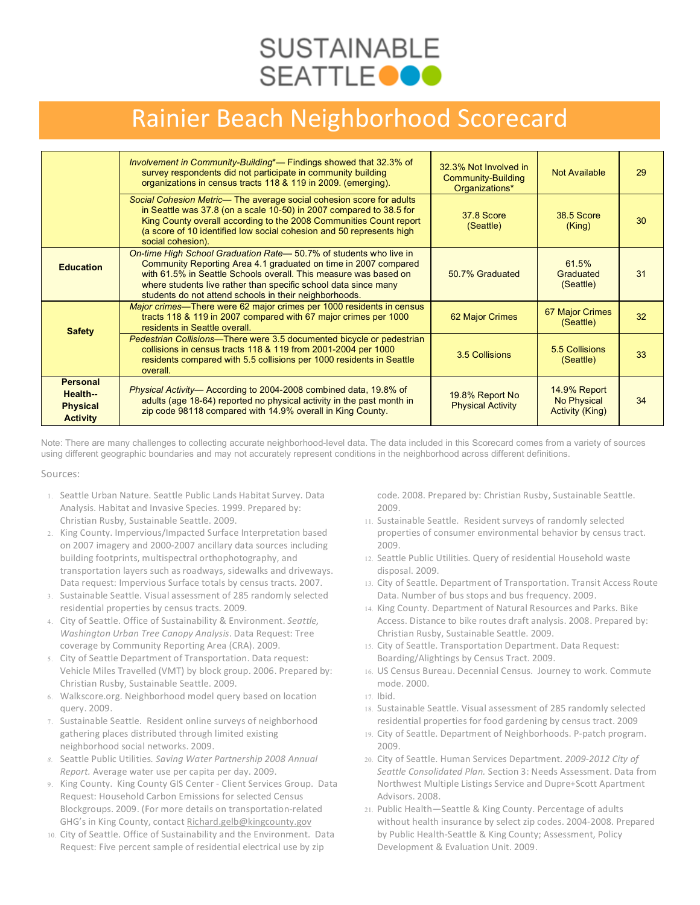## **SUSTAINABLE SEATTLEOOO**

#### Rainier Beach Neighborhood Scorecard

|                                                                  | Involvement in Community-Building*— Findings showed that 32.3% of<br>survey respondents did not participate in community building<br>organizations in census tracts 118 & 119 in 2009. (emerging).                                                                                                                                    | 32.3% Not Involved in<br><b>Community-Building</b><br>Organizations* | Not Available                                                | 29 |
|------------------------------------------------------------------|---------------------------------------------------------------------------------------------------------------------------------------------------------------------------------------------------------------------------------------------------------------------------------------------------------------------------------------|----------------------------------------------------------------------|--------------------------------------------------------------|----|
|                                                                  | Social Cohesion Metric- The average social cohesion score for adults<br>in Seattle was 37.8 (on a scale 10-50) in 2007 compared to 38.5 for<br>King County overall according to the 2008 Communities Count report<br>(a score of 10 identified low social cohesion and 50 represents high<br>social cohesion).                        | <b>37.8 Score</b><br>(Seattle)                                       | <b>38.5 Score</b><br>(King)                                  | 30 |
| <b>Education</b>                                                 | On-time High School Graduation Rate-50.7% of students who live in<br>Community Reporting Area 4.1 graduated on time in 2007 compared<br>with 61.5% in Seattle Schools overall. This measure was based on<br>where students live rather than specific school data since many<br>students do not attend schools in their neighborhoods. | 50.7% Graduated                                                      | 61.5%<br>Graduated<br>(Seattle)                              | 31 |
| <b>Safety</b>                                                    | Major crimes—There were 62 major crimes per 1000 residents in census<br>tracts 118 & 119 in 2007 compared with 67 major crimes per 1000<br>residents in Seattle overall.                                                                                                                                                              | 62 Major Crimes                                                      | 67 Major Crimes<br>(Seattle)                                 | 32 |
|                                                                  | Pedestrian Collisions—There were 3.5 documented bicycle or pedestrian<br>collisions in census tracts 118 & 119 from 2001-2004 per 1000<br>residents compared with 5.5 collisions per 1000 residents in Seattle<br>overall.                                                                                                            | 3.5 Collisions                                                       | 5.5 Collisions<br>(Seattle)                                  | 33 |
| <b>Personal</b><br>Health-<br><b>Physical</b><br><b>Activity</b> | Physical Activity-According to 2004-2008 combined data, 19.8% of<br>adults (age 18-64) reported no physical activity in the past month in<br>zip code 98118 compared with 14.9% overall in King County.                                                                                                                               | 19.8% Report No<br><b>Physical Activity</b>                          | 14.9% Report<br><b>No Physical</b><br><b>Activity (King)</b> | 34 |

Note: There are many challenges to collecting accurate neighborhood-level data. The data included in this Scorecard comes from a variety of sources using different geographic boundaries and may not accurately represent conditions in the neighborhood across different definitions.

Sources:

- 1. Seattle Urban Nature. Seattle Public Lands Habitat Survey. Data Analysis. Habitat and Invasive Species. 1999. Prepared by: Christian Rusby, Sustainable Seattle. 2009.
- 2. King County. Impervious/Impacted Surface Interpretation based on 2007 imagery and 2000‐2007 ancillary data sources including building footprints, multispectral orthophotography, and transportation layers such as roadways, sidewalks and driveways. Data request: Impervious Surface totals by census tracts. 2007.
- 3. Sustainable Seattle. Visual assessment of 285 randomly selected residential properties by census tracts. 2009.
- 4. City of Seattle. Office of Sustainability & Environment. *Seattle, Washington
Urban
Tree Canopy Analysis*. Data Request: Tree coverage by Community Reporting Area (CRA). 2009.
- 5. City of Seattle Department of Transportation. Data request: Vehicle Miles Travelled (VMT) by block group. 2006. Prepared by: Christian Rusby, Sustainable Seattle. 2009.
- 6. Walkscore.org. Neighborhood model query based on location query. 2009.
- Sustainable Seattle. Resident online surveys of neighborhood gathering places distributed through limited existing neighborhood social networks. 2009.
- *8.* Seattle Public Utilities*. Saving
Water Partnership
2008 Annual Report.* Average water use per capita per day. 2009.
- 9. King County. King County GIS Center Client Services Group. Data Request: Household Carbon Emissions for selected Census Blockgroups. 2009. (For more details on transportation‐related GHG's in King County, contact Richard.gelb@kingcounty.gov
- 10. City of Seattle. Office of Sustainability and the Environment. Data Request: Five percent sample of residential electrical use by zip

code. 2008. Prepared by: Christian Rusby, Sustainable Seattle. 2009.

- 11. Sustainable Seattle. Resident surveys of randomly selected properties of consumer environmental behavior by census tract. 2009.
- 12. Seattle Public Utilities. Query of residential Household waste disposal. 2009.
- 13. City of Seattle. Department of Transportation. Transit Access Route Data. Number of bus stops and bus frequency. 2009.
- 14. King County. Department of Natural Resources and Parks. Bike Access. Distance to bike routes draft analysis. 2008. Prepared by: Christian Rusby, Sustainable Seattle. 2009.
- 15. City of Seattle. Transportation Department. Data Request: Boarding/Alightings by Census Tract. 2009.
- 16. US
Census Bureau. Decennial Census. Journey to work. Commute mode. 2000.
- 17. Ibid.
- 18. Sustainable Seattle. Visual assessment of 285 randomly selected residential properties for food gardening by census tract. 2009
- 19. City of Seattle. Department of Neighborhoods. P‐patch program. 2009.
- 20. City of Seattle. Human Services Department. *2009‐2012 City of Seattle Consolidated
Plan.* Section 3: Needs Assessment. Data from Northwest Multiple Listings Service and Dupre+Scott Apartment Advisors. 2008.
- 21. Public Health—Seattle & King County. Percentage of adults without health insurance by select zip codes. 2004‐2008. Prepared by Public Health‐Seattle & King County; Assessment, Policy Development & Evaluation Unit. 2009.